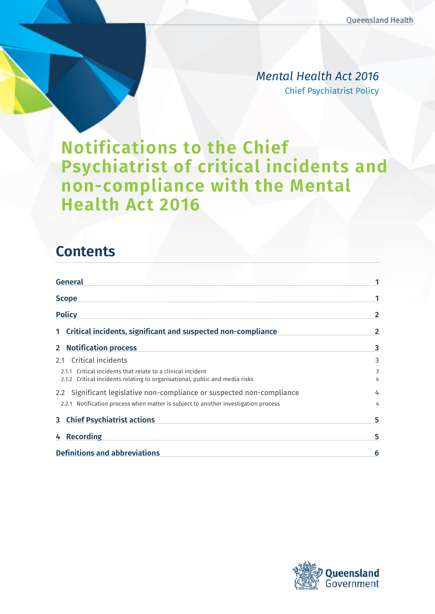*Mental Health Act 2016* Chief Psychiatrist Policy

# **Notifications to the Chief Psychiatrist of critical incidents and non-compliance with the Mental Health Act 2016**

## **Contents**

| <b>General</b>                                                                                                                             |              |
|--------------------------------------------------------------------------------------------------------------------------------------------|--------------|
| <b>Scope</b>                                                                                                                               |              |
| <b>Policy</b>                                                                                                                              | $\mathbf{2}$ |
| 1 Critical incidents, significant and suspected non-compliance                                                                             | 2            |
| 2 Notification process                                                                                                                     | 3            |
| 2.1 Critical incidents                                                                                                                     | 3            |
| 2.1.1 Critical incidents that relate to a clinical incident<br>2.1.2 Critical incidents relating to organisational, public and media risks | 3<br>4       |
| 2.2 Significant legislative non-compliance or suspected non-compliance                                                                     | 4            |
| 2.2.1 Notification process when matter is subject to another investigation process                                                         | 4            |
| <b>3</b> Chief Psychiatrist actions                                                                                                        | 5            |
| 4 Recording                                                                                                                                | 5            |
| <b>Definitions and abbreviations</b>                                                                                                       | 6            |

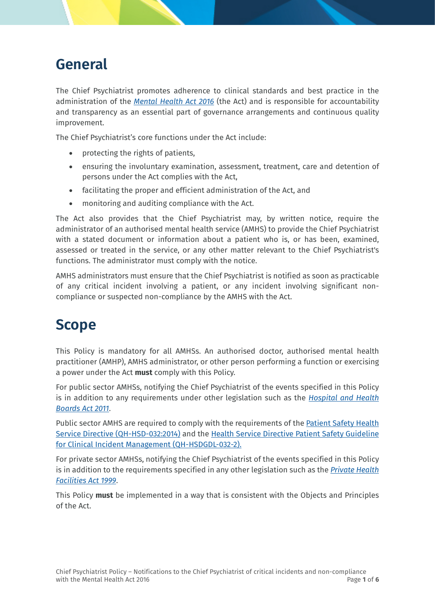# <span id="page-1-0"></span>**General**

The Chief Psychiatrist promotes adherence to clinical standards and best practice in the administration of the *[Mental Health Act 2016](https://www.legislation.qld.gov.au/view/html/inforce/current/act-2016-005)* (the Act) and is responsible for accountability and transparency as an essential part of governance arrangements and continuous quality improvement.

The Chief Psychiatrist's core functions under the Act include:

- protecting the rights of patients,
- ensuring the involuntary examination, assessment, treatment, care and detention of persons under the Act complies with the Act,
- facilitating the proper and efficient administration of the Act, and
- monitoring and auditing compliance with the Act.

The Act also provides that the Chief Psychiatrist may, by written notice, require the administrator of an authorised mental health service (AMHS) to provide the Chief Psychiatrist with a stated document or information about a patient who is, or has been, examined, assessed or treated in the service, or any other matter relevant to the Chief Psychiatrist's functions. The administrator must comply with the notice.

AMHS administrators must ensure that the Chief Psychiatrist is notified as soon as practicable of any critical incident involving a patient, or any incident involving significant noncompliance or suspected non-compliance by the AMHS with the Act.

## <span id="page-1-1"></span>**Scope**

This Policy is mandatory for all AMHSs. An authorised doctor, authorised mental health practitioner (AMHP), AMHS administrator, or other person performing a function or exercising a power under the Act **must** comply with this Policy.

For public sector AMHSs, notifying the Chief Psychiatrist of the events specified in this Policy is in addition to any requirements under other legislation such as the *[Hospital and Health](https://www.legislation.qld.gov.au/view/html/inforce/current/act-2011-032)  [Boards Act 2011](https://www.legislation.qld.gov.au/view/html/inforce/current/act-2011-032)*.

Public sector AMHS are required to comply with the requirements of the [Patient Safety Health](https://www.health.qld.gov.au/system-governance/policies-standards/health-service-directives/patient-safety)  [Service Directive \(QH-HSD-032:2014\)](https://www.health.qld.gov.au/system-governance/policies-standards/health-service-directives/patient-safety) and the [Health Service Directive Patient Safety Guideline](https://www.health.qld.gov.au/system-governance/policies-standards/health-service-directives/patient-safety/clinical-incident-management)  [for Clinical Incident Management \(QH-HSDGDL-032-2\).](https://www.health.qld.gov.au/system-governance/policies-standards/health-service-directives/patient-safety/clinical-incident-management)

For private sector AMHSs, notifying the Chief Psychiatrist of the events specified in this Policy is in addition to the requirements specified in any other legislation such as the *[Private Health](https://www.legislation.qld.gov.au/view/html/inforce/current/act-1999-060)  [Facilities Act 1999](https://www.legislation.qld.gov.au/view/html/inforce/current/act-1999-060)*.

This Policy **must** be implemented in a way that is consistent with the Objects and Principles of the Act.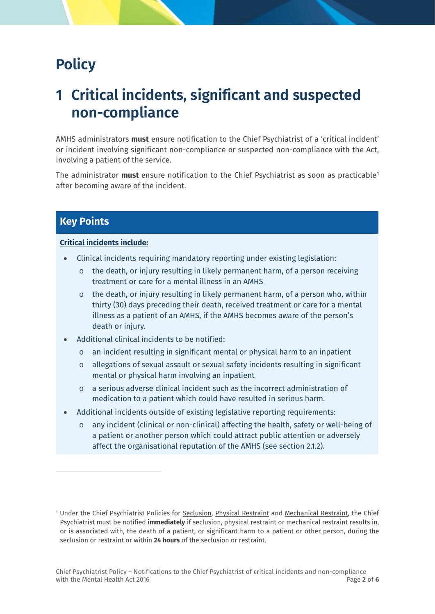# <span id="page-2-0"></span>**Policy**

# <span id="page-2-1"></span>**1 Critical incidents, significant and suspected non-compliance**

AMHS administrators **must** ensure notification to the Chief Psychiatrist of a 'critical incident' or incident involving significant non-compliance or suspected non-compliance with the Act, involving a patient of the service.

The administrator **must** ensure notification to the Chief Psychiatrist as soon as practicable[1](#page-2-2) after becoming aware of the incident.

### **Key Points**

 $\overline{a}$ 

#### **Critical incidents include:**

- Clinical incidents requiring mandatory reporting under existing legislation:
	- $\circ$  the death, or injury resulting in likely permanent harm, of a person receiving treatment or care for a mental illness in an AMHS
	- $\circ$  the death, or injury resulting in likely permanent harm, of a person who, within thirty (30) days preceding their death, received treatment or care for a mental illness as a patient of an AMHS, if the AMHS becomes aware of the person's death or injury.
- Additional clinical incidents to be notified:
	- o an incident resulting in significant mental or physical harm to an inpatient
	- o allegations of sexual assault or sexual safety incidents resulting in significant mental or physical harm involving an inpatient
	- o a serious adverse clinical incident such as the incorrect administration of medication to a patient which could have resulted in serious harm.
- Additional incidents outside of existing legislative reporting requirements:
	- o any incident (clinical or non-clinical) affecting the health, safety or well-being of a patient or another person which could attract public attention or adversely affect the organisational reputation of the AMHS (see section [2.1.2\)](#page-4-0).

<span id="page-2-2"></span><sup>&</sup>lt;sup>1</sup> Under the Chief Psychiatrist Policies for [Seclusion,](https://www.health.qld.gov.au/__data/assets/pdf_file/0025/465163/cpp-seclusion.pdf) Physical Restraint and Mechanical Restraint, the Chief Psychiatrist must be notified **immediately** if seclusion, physical restraint or mechanical restraint results in, or is associated with, the death of a patient, or significant harm to a patient or other person, during the seclusion or restraint or within **24 hours** of the seclusion or restraint.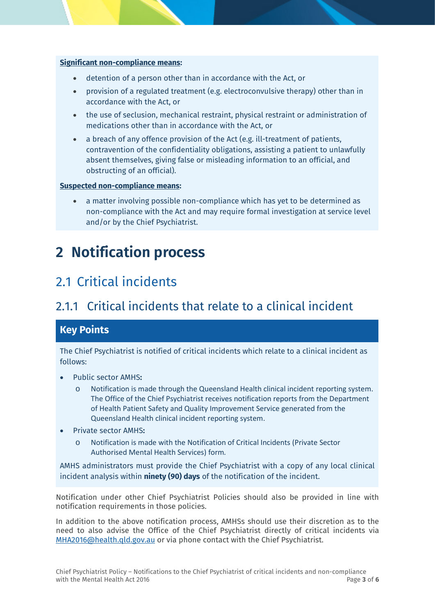#### **Significant non-compliance means:**

- detention of a person other than in accordance with the Act, or
- provision of a regulated treatment (e.g. electroconvulsive therapy) other than in accordance with the Act, or
- the use of seclusion, mechanical restraint, physical restraint or administration of medications other than in accordance with the Act, or
- a breach of any offence provision of the Act (e.g. ill-treatment of patients, contravention of the confidentiality obligations, assisting a patient to unlawfully absent themselves, giving false or misleading information to an official, and obstructing of an official).

#### **Suspected non-compliance means:**

• a matter involving possible non-compliance which has yet to be determined as non-compliance with the Act and may require formal investigation at service level and/or by the Chief Psychiatrist.

# <span id="page-3-0"></span>**2 Notification process**

## <span id="page-3-1"></span>2.1 Critical incidents

### <span id="page-3-2"></span>2.1.1 Critical incidents that relate to a clinical incident

### **Key Points**

The Chief Psychiatrist is notified of critical incidents which relate to a clinical incident as follows:

- Public sector AMHS**:**
	- o Notification is made through the Queensland Health clinical incident reporting system. The Office of the Chief Psychiatrist receives notification reports from the Department of Health Patient Safety and Quality Improvement Service generated from the Queensland Health clinical incident reporting system.
- Private sector AMHS**:**
	- o Notification is made with the Notification of Critical Incidents (Private Sector Authorised Mental Health Services) form*.*

AMHS administrators must provide the Chief Psychiatrist with a copy of any local clinical incident analysis within **ninety (90) days** of the notification of the incident.

Notification under other Chief Psychiatrist Policies should also be provided in line with notification requirements in those policies.

In addition to the above notification process, AMHSs should use their discretion as to the need to also advise the Office of the Chief Psychiatrist directly of critical incidents via [MHA2016@health.qld.gov.au](mailto:MHA2016@health.qld.gov.au) or via phone contact with the Chief Psychiatrist.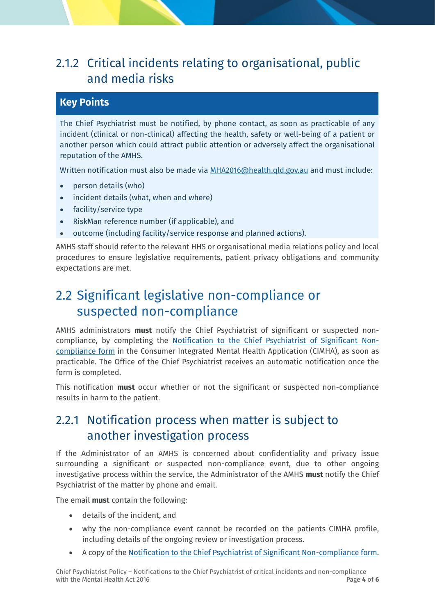### <span id="page-4-0"></span>2.1.2 Critical incidents relating to organisational, public and media risks

### **Key Points**

The Chief Psychiatrist must be notified, by phone contact, as soon as practicable of any incident (clinical or non-clinical) affecting the health, safety or well-being of a patient or another person which could attract public attention or adversely affect the organisational reputation of the AMHS.

Written notification must also be made via [MHA2016@health.qld.gov.au](mailto:MHA2016@health.qld.gov.au) and must include:

- person details (who)
- incident details (what, when and where)
- facility/service type
- RiskMan reference number (if applicable), and
- outcome (including facility/service response and planned actions).

AMHS staff should refer to the relevant HHS or organisational media relations policy and local procedures to ensure legislative requirements, patient privacy obligations and community expectations are met.

## <span id="page-4-1"></span>2.2 Significant legislative non-compliance or suspected non-compliance

AMHS administrators **must** notify the Chief Psychiatrist of significant or suspected noncompliance, by completing the [Notification to the Chief Psychiatrist of Significant Non](https://www.health.qld.gov.au/__data/assets/word_doc/0035/842696/Notification-to-Chief-Psychiatrist-of-Significant-Non-Compliance-with-the-Act_Form.docx)[compliance form](https://www.health.qld.gov.au/__data/assets/word_doc/0035/842696/Notification-to-Chief-Psychiatrist-of-Significant-Non-Compliance-with-the-Act_Form.docx) in the Consumer Integrated Mental Health Application (CIMHA), as soon as practicable. The Office of the Chief Psychiatrist receives an automatic notification once the form is completed.

This notification **must** occur whether or not the significant or suspected non-compliance results in harm to the patient.

### <span id="page-4-2"></span>2.2.1 Notification process when matter is subject to another investigation process

If the Administrator of an AMHS is concerned about confidentiality and privacy issue surrounding a significant or suspected non-compliance event, due to other ongoing investigative process within the service, the Administrator of the AMHS **must** notify the Chief Psychiatrist of the matter by phone and email.

The email **must** contain the following:

- details of the incident, and
- why the non-compliance event cannot be recorded on the patients CIMHA profile, including details of the ongoing review or investigation process.
- A copy of th[e Notification to the Chief Psychiatrist of Significant Non-compliance form.](https://www.health.qld.gov.au/__data/assets/word_doc/0035/842696/Notification-to-Chief-Psychiatrist-of-Significant-Non-Compliance-with-the-Act_Form.docx)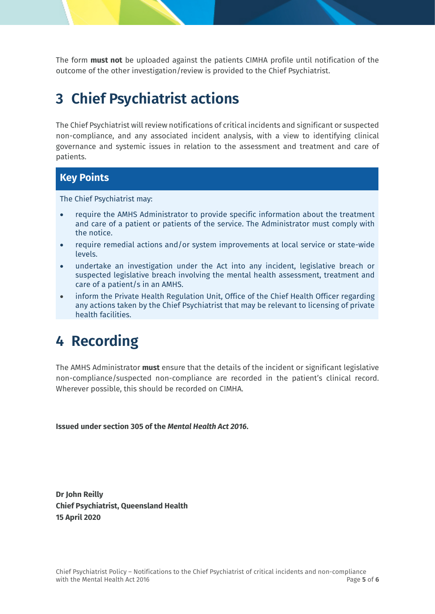The form **must not** be uploaded against the patients CIMHA profile until notification of the outcome of the other investigation/review is provided to the Chief Psychiatrist.

# <span id="page-5-0"></span>**3 Chief Psychiatrist actions**

The Chief Psychiatrist will review notifications of critical incidents and significant or suspected non-compliance, and any associated incident analysis, with a view to identifying clinical governance and systemic issues in relation to the assessment and treatment and care of patients.

### **Key Points**

The Chief Psychiatrist may:

- require the AMHS Administrator to provide specific information about the treatment and care of a patient or patients of the service. The Administrator must comply with the notice.
- require remedial actions and/or system improvements at local service or state-wide levels.
- undertake an investigation under the Act into any incident, legislative breach or suspected legislative breach involving the mental health assessment, treatment and care of a patient/s in an AMHS.
- inform the Private Health Regulation Unit, Office of the Chief Health Officer regarding any actions taken by the Chief Psychiatrist that may be relevant to licensing of private health facilities.

## <span id="page-5-1"></span>**4 Recording**

The AMHS Administrator **must** ensure that the details of the incident or significant legislative non-compliance/suspected non-compliance are recorded in the patient's clinical record. Wherever possible, this should be recorded on CIMHA.

**Issued under section 305 of the** *Mental Health Act 2016***.**

**Dr John Reilly Chief Psychiatrist, Queensland Health 15 April 2020**